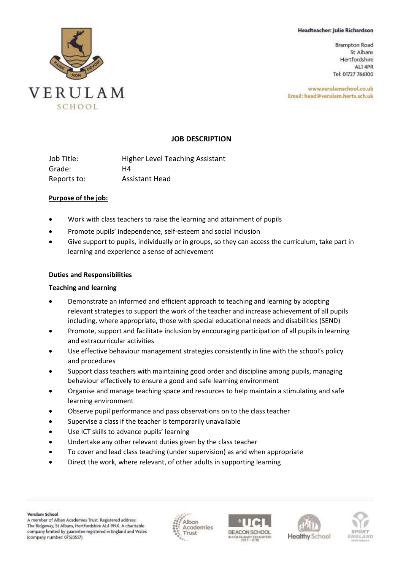#### Headteacher: Julie Richardson

**Brampton Road** St Albans Hertfordshire ALI 4PR Tel: 01727 766100

www.verulamschool.co.uk Email: head@verulam.herts.sch.uk



### **JOB DESCRIPTION**

Job Title: Higher Level Teaching Assistant Grade: H4 Reports to: Assistant Head

### **Purpose of the job:**

- Work with class teachers to raise the learning and attainment of pupils
- Promote pupils' independence, self-esteem and social inclusion
- Give support to pupils, individually or in groups, so they can access the curriculum, take part in learning and experience a sense of achievement

### **Duties and Responsibilities**

### **Teaching and learning**

- Demonstrate an informed and efficient approach to teaching and learning by adopting relevant strategies to support the work of the teacher and increase achievement of all pupils including, where appropriate, those with special educational needs and disabilities (SEND)
- Promote, support and facilitate inclusion by encouraging participation of all pupils in learning and extracurricular activities
- Use effective behaviour management strategies consistently in line with the school's policy and procedures
- Support class teachers with maintaining good order and discipline among pupils, managing behaviour effectively to ensure a good and safe learning environment
- Organise and manage teaching space and resources to help maintain a stimulating and safe learning environment
- Observe pupil performance and pass observations on to the class teacher
- Supervise a class if the teacher is temporarily unavailable
- Use ICT skills to advance pupils' learning
- Undertake any other relevant duties given by the class teacher
- To cover and lead class teaching (under supervision) as and when appropriate
- Direct the work, where relevant, of other adults in supporting learning







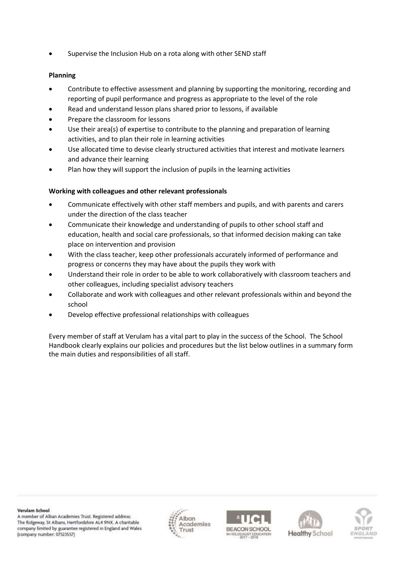• Supervise the Inclusion Hub on a rota along with other SEND staff

## **Planning**

- Contribute to effective assessment and planning by supporting the monitoring, recording and reporting of pupil performance and progress as appropriate to the level of the role
- Read and understand lesson plans shared prior to lessons, if available
- Prepare the classroom for lessons
- Use their area(s) of expertise to contribute to the planning and preparation of learning activities, and to plan their role in learning activities
- Use allocated time to devise clearly structured activities that interest and motivate learners and advance their learning
- Plan how they will support the inclusion of pupils in the learning activities

## **Working with colleagues and other relevant professionals**

- Communicate effectively with other staff members and pupils, and with parents and carers under the direction of the class teacher
- Communicate their knowledge and understanding of pupils to other school staff and education, health and social care professionals, so that informed decision making can take place on intervention and provision
- With the class teacher, keep other professionals accurately informed of performance and progress or concerns they may have about the pupils they work with
- Understand their role in order to be able to work collaboratively with classroom teachers and other colleagues, including specialist advisory teachers
- Collaborate and work with colleagues and other relevant professionals within and beyond the school
- Develop effective professional relationships with colleagues

Every member of staff at Verulam has a vital part to play in the success of the School. The School Handbook clearly explains our policies and procedures but the list below outlines in a summary form the main duties and responsibilities of all staff.

Verulam School

A member of Alban Academies Trust. Registered address: The Ridgeway, St Albans, Hertfordshire AL4 9NX. A charitable company limited by guarantee registered in England and Wales (company number: 07523557)







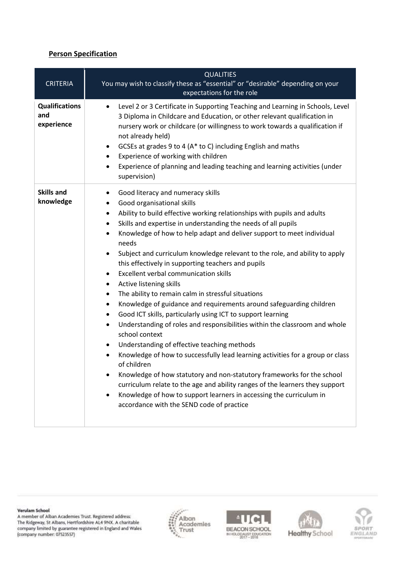# **Person Specification**

| <b>CRITERIA</b>                            | <b>QUALITIES</b><br>You may wish to classify these as "essential" or "desirable" depending on your<br>expectations for the role                                                                                                                                                                                                                                                                                                                                                                                                                                                                                                                                                                                                                                                                                                                                                                                                                                                                                                                                                                                                                                                                                                                                                                                                        |
|--------------------------------------------|----------------------------------------------------------------------------------------------------------------------------------------------------------------------------------------------------------------------------------------------------------------------------------------------------------------------------------------------------------------------------------------------------------------------------------------------------------------------------------------------------------------------------------------------------------------------------------------------------------------------------------------------------------------------------------------------------------------------------------------------------------------------------------------------------------------------------------------------------------------------------------------------------------------------------------------------------------------------------------------------------------------------------------------------------------------------------------------------------------------------------------------------------------------------------------------------------------------------------------------------------------------------------------------------------------------------------------------|
| <b>Qualifications</b><br>and<br>experience | Level 2 or 3 Certificate in Supporting Teaching and Learning in Schools, Level<br>$\bullet$<br>3 Diploma in Childcare and Education, or other relevant qualification in<br>nursery work or childcare (or willingness to work towards a qualification if<br>not already held)<br>GCSEs at grades 9 to 4 (A* to C) including English and maths<br>٠<br>Experience of working with children<br>Experience of planning and leading teaching and learning activities (under<br>$\bullet$<br>supervision)                                                                                                                                                                                                                                                                                                                                                                                                                                                                                                                                                                                                                                                                                                                                                                                                                                    |
| <b>Skills and</b><br>knowledge             | Good literacy and numeracy skills<br>Good organisational skills<br>٠<br>Ability to build effective working relationships with pupils and adults<br>٠<br>Skills and expertise in understanding the needs of all pupils<br>٠<br>Knowledge of how to help adapt and deliver support to meet individual<br>$\bullet$<br>needs<br>Subject and curriculum knowledge relevant to the role, and ability to apply<br>this effectively in supporting teachers and pupils<br><b>Excellent verbal communication skills</b><br>$\bullet$<br>Active listening skills<br>$\bullet$<br>The ability to remain calm in stressful situations<br>٠<br>Knowledge of guidance and requirements around safeguarding children<br>٠<br>Good ICT skills, particularly using ICT to support learning<br>$\bullet$<br>Understanding of roles and responsibilities within the classroom and whole<br>$\bullet$<br>school context<br>Understanding of effective teaching methods<br>٠<br>Knowledge of how to successfully lead learning activities for a group or class<br>of children<br>Knowledge of how statutory and non-statutory frameworks for the school<br>curriculum relate to the age and ability ranges of the learners they support<br>Knowledge of how to support learners in accessing the curriculum in<br>accordance with the SEND code of practice |

Verulam School

A member of Alban Academies Trust. Registered address:<br>The Ridgeway, St Albans, Hertfordshire AL4 9NX. A charitable  $\,$  company limited by guarantee registered in England and Wales  $\,$  (company number:  $07523557)$